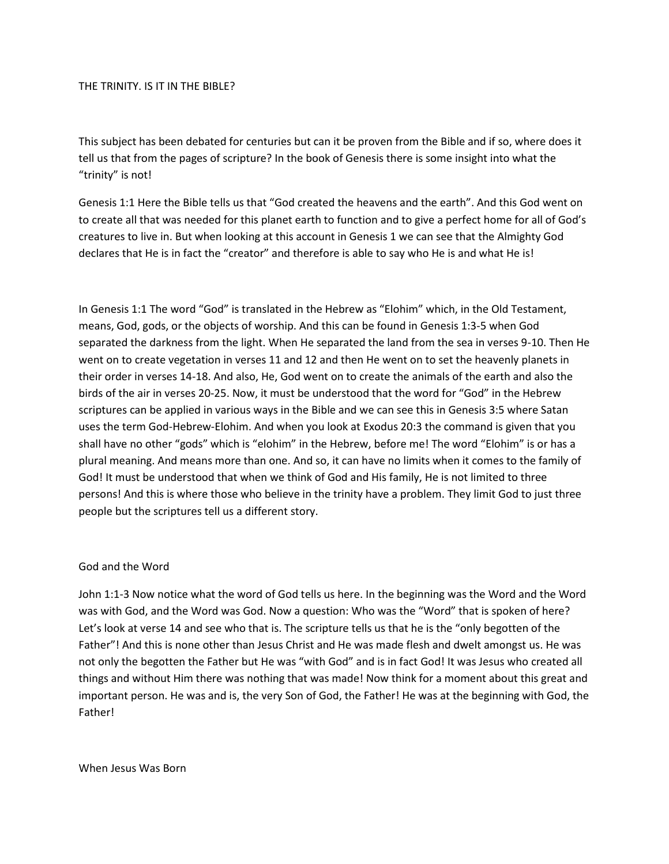#### THE TRINITY. IS IT IN THE BIBLE?

This subject has been debated for centuries but can it be proven from the Bible and if so, where does it tell us that from the pages of scripture? In the book of Genesis there is some insight into what the "trinity" is not!

Genesis 1:1 Here the Bible tells us that "God created the heavens and the earth". And this God went on to create all that was needed for this planet earth to function and to give a perfect home for all of God's creatures to live in. But when looking at this account in Genesis 1 we can see that the Almighty God declares that He is in fact the "creator" and therefore is able to say who He is and what He is!

In Genesis 1:1 The word "God" is translated in the Hebrew as "Elohim" which, in the Old Testament, means, God, gods, or the objects of worship. And this can be found in Genesis 1:3-5 when God separated the darkness from the light. When He separated the land from the sea in verses 9-10. Then He went on to create vegetation in verses 11 and 12 and then He went on to set the heavenly planets in their order in verses 14-18. And also, He, God went on to create the animals of the earth and also the birds of the air in verses 20-25. Now, it must be understood that the word for "God" in the Hebrew scriptures can be applied in various ways in the Bible and we can see this in Genesis 3:5 where Satan uses the term God-Hebrew-Elohim. And when you look at Exodus 20:3 the command is given that you shall have no other "gods" which is "elohim" in the Hebrew, before me! The word "Elohim" is or has a plural meaning. And means more than one. And so, it can have no limits when it comes to the family of God! It must be understood that when we think of God and His family, He is not limited to three persons! And this is where those who believe in the trinity have a problem. They limit God to just three people but the scriptures tell us a different story.

#### God and the Word

John 1:1-3 Now notice what the word of God tells us here. In the beginning was the Word and the Word was with God, and the Word was God. Now a question: Who was the "Word" that is spoken of here? Let's look at verse 14 and see who that is. The scripture tells us that he is the "only begotten of the Father"! And this is none other than Jesus Christ and He was made flesh and dwelt amongst us. He was not only the begotten the Father but He was "with God" and is in fact God! It was Jesus who created all things and without Him there was nothing that was made! Now think for a moment about this great and important person. He was and is, the very Son of God, the Father! He was at the beginning with God, the Father!

When Jesus Was Born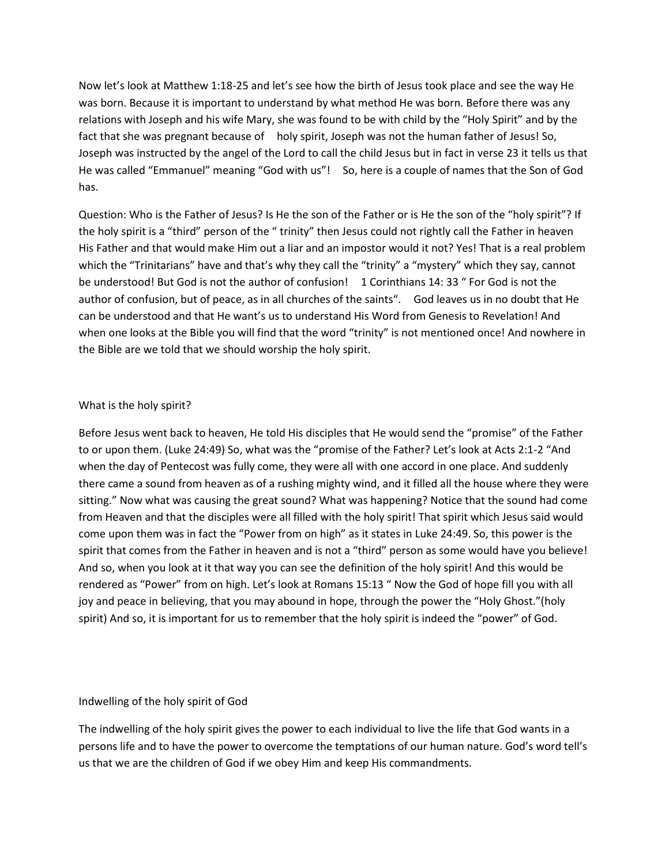Now let's look at Matthew 1:18-25 and let's see how the birth of Jesus took place and see the way He was born. Because it is important to understand by what method He was born. Before there was any relations with Joseph and his wife Mary, she was found to be with child by the "Holy Spirit" and by the fact that she was pregnant because of holy spirit, Joseph was not the human father of Jesus! So, Joseph was instructed by the angel of the Lord to call the child Jesus but in fact in verse 23 it tells us that He was called "Emmanuel" meaning "God with us"! So, here is a couple of names that the Son of God has.

Question: Who is the Father of Jesus? Is He the son of the Father or is He the son of the "holy spirit"? If the holy spirit is a "third" person of the " trinity" then Jesus could not rightly call the Father in heaven His Father and that would make Him out a liar and an impostor would it not? Yes! That is a real problem which the "Trinitarians" have and that's why they call the "trinity" a "mystery" which they say, cannot be understood! But God is not the author of confusion! 1 Corinthians 14: 33 " For God is not the author of confusion, but of peace, as in all churches of the saints". God leaves us in no doubt that He can be understood and that He want's us to understand His Word from Genesis to Revelation! And when one looks at the Bible you will find that the word "trinity" is not mentioned once! And nowhere in the Bible are we told that we should worship the holy spirit.

#### What is the holy spirit?

Before Jesus went back to heaven, He told His disciples that He would send the "promise" of the Father to or upon them. (Luke 24:49) So, what was the "promise of the Father? Let's look at Acts 2:1-2 "And when the day of Pentecost was fully come, they were all with one accord in one place. And suddenly there came a sound from heaven as of a rushing mighty wind, and it filled all the house where they were sitting." Now what was causing the great sound? What was happening? Notice that the sound had come from Heaven and that the disciples were all filled with the holy spirit! That spirit which Jesus said would come upon them was in fact the "Power from on high" as it states in Luke 24:49. So, this power is the spirit that comes from the Father in heaven and is not a "third" person as some would have you believe! And so, when you look at it that way you can see the definition of the holy spirit! And this would be rendered as "Power" from on high. Let's look at Romans 15:13 " Now the God of hope fill you with all joy and peace in believing, that you may abound in hope, through the power the "Holy Ghost."(holy spirit) And so, it is important for us to remember that the holy spirit is indeed the "power" of God.

#### Indwelling of the holy spirit of God

The indwelling of the holy spirit gives the power to each individual to live the life that God wants in a persons life and to have the power to overcome the temptations of our human nature. God's word tell's us that we are the children of God if we obey Him and keep His commandments.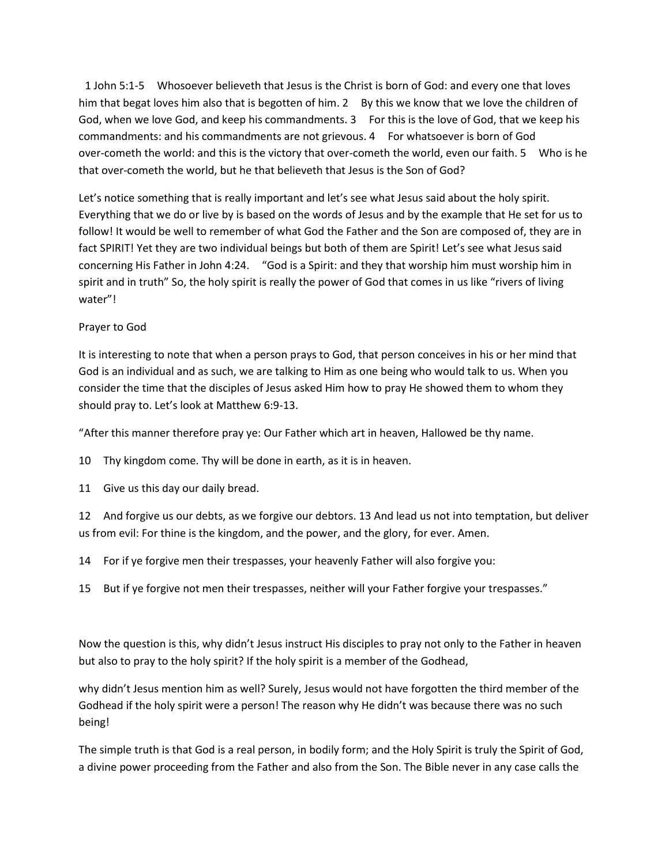1 John 5:1-5 Whosoever believeth that Jesus is the Christ is born of God: and every one that loves him that begat loves him also that is begotten of him. 2 By this we know that we love the children of God, when we love God, and keep his commandments. 3 For this is the love of God, that we keep his commandments: and his commandments are not grievous. 4 For whatsoever is born of God over-cometh the world: and this is the victory that over-cometh the world, even our faith. 5 Who is he that over-cometh the world, but he that believeth that Jesus is the Son of God?

Let's notice something that is really important and let's see what Jesus said about the holy spirit. Everything that we do or live by is based on the words of Jesus and by the example that He set for us to follow! It would be well to remember of what God the Father and the Son are composed of, they are in fact SPIRIT! Yet they are two individual beings but both of them are Spirit! Let's see what Jesus said concerning His Father in John 4:24. "God is a Spirit: and they that worship him must worship him in spirit and in truth" So, the holy spirit is really the power of God that comes in us like "rivers of living water"!

# Prayer to God

It is interesting to note that when a person prays to God, that person conceives in his or her mind that God is an individual and as such, we are talking to Him as one being who would talk to us. When you consider the time that the disciples of Jesus asked Him how to pray He showed them to whom they should pray to. Let's look at Matthew 6:9-13.

"After this manner therefore pray ye: Our Father which art in heaven, Hallowed be thy name.

10 Thy kingdom come. Thy will be done in earth, as it is in heaven.

11 Give us this day our daily bread.

12 And forgive us our debts, as we forgive our debtors. 13 And lead us not into temptation, but deliver us from evil: For thine is the kingdom, and the power, and the glory, for ever. Amen.

14 For if ye forgive men their trespasses, your heavenly Father will also forgive you:

15 But if ye forgive not men their trespasses, neither will your Father forgive your trespasses."

Now the question is this, why didn't Jesus instruct His disciples to pray not only to the Father in heaven but also to pray to the holy spirit? If the holy spirit is a member of the Godhead,

why didn't Jesus mention him as well? Surely, Jesus would not have forgotten the third member of the Godhead if the holy spirit were a person! The reason why He didn't was because there was no such being!

The simple truth is that God is a real person, in bodily form; and the Holy Spirit is truly the Spirit of God, a divine power proceeding from the Father and also from the Son. The Bible never in any case calls the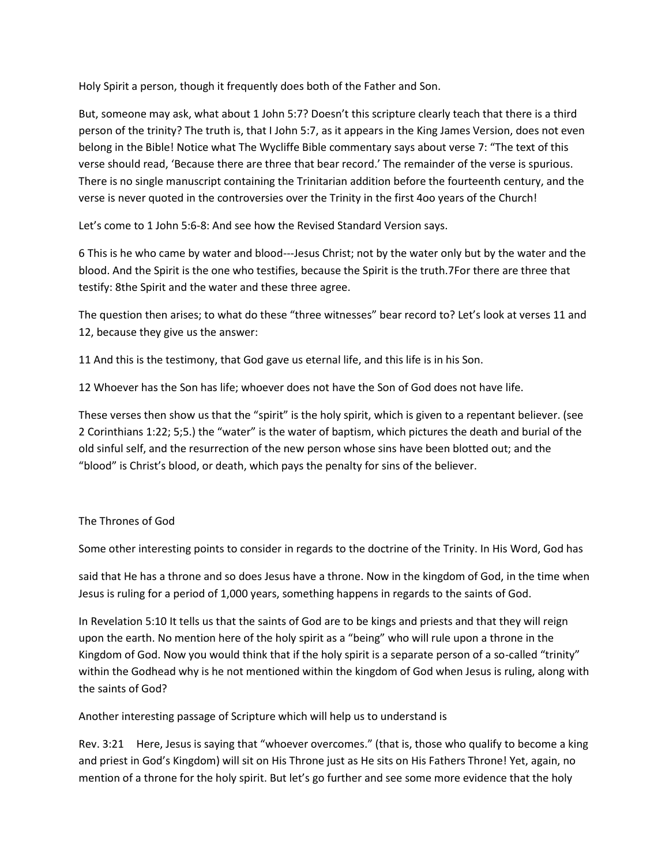Holy Spirit a person, though it frequently does both of the Father and Son.

But, someone may ask, what about 1 John 5:7? Doesn't this scripture clearly teach that there is a third person of the trinity? The truth is, that I John 5:7, as it appears in the King James Version, does not even belong in the Bible! Notice what The Wycliffe Bible commentary says about verse 7: "The text of this verse should read, 'Because there are three that bear record.' The remainder of the verse is spurious. There is no single manuscript containing the Trinitarian addition before the fourteenth century, and the verse is never quoted in the controversies over the Trinity in the first 4oo years of the Church!

Let's come to 1 John 5:6-8: And see how the Revised Standard Version says.

6 This is he who came by water and blood---Jesus Christ; not by the water only but by the water and the blood. And the Spirit is the one who testifies, because the Spirit is the truth.7For there are three that testify: 8the Spirit and the water and these three agree.

The question then arises; to what do these "three witnesses" bear record to? Let's look at verses 11 and 12, because they give us the answer:

11 And this is the testimony, that God gave us eternal life, and this life is in his Son.

12 Whoever has the Son has life; whoever does not have the Son of God does not have life.

These verses then show us that the "spirit" is the holy spirit, which is given to a repentant believer. (see 2 Corinthians 1:22; 5;5.) the "water" is the water of baptism, which pictures the death and burial of the old sinful self, and the resurrection of the new person whose sins have been blotted out; and the "blood" is Christ's blood, or death, which pays the penalty for sins of the believer.

# The Thrones of God

Some other interesting points to consider in regards to the doctrine of the Trinity. In His Word, God has

said that He has a throne and so does Jesus have a throne. Now in the kingdom of God, in the time when Jesus is ruling for a period of 1,000 years, something happens in regards to the saints of God.

In Revelation 5:10 It tells us that the saints of God are to be kings and priests and that they will reign upon the earth. No mention here of the holy spirit as a "being" who will rule upon a throne in the Kingdom of God. Now you would think that if the holy spirit is a separate person of a so-called "trinity" within the Godhead why is he not mentioned within the kingdom of God when Jesus is ruling, along with the saints of God?

Another interesting passage of Scripture which will help us to understand is

Rev. 3:21 Here, Jesus is saying that "whoever overcomes." (that is, those who qualify to become a king and priest in God's Kingdom) will sit on His Throne just as He sits on His Fathers Throne! Yet, again, no mention of a throne for the holy spirit. But let's go further and see some more evidence that the holy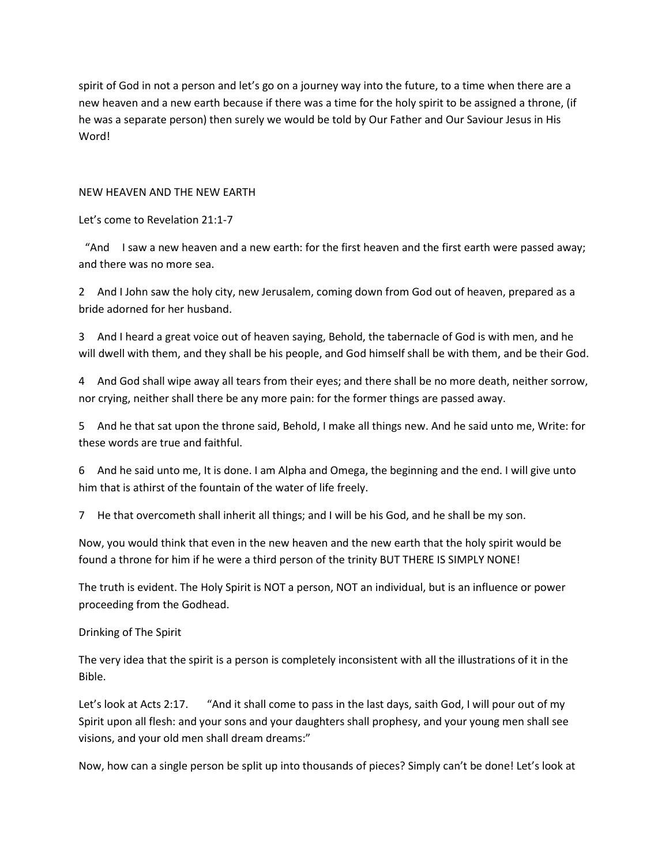spirit of God in not a person and let's go on a journey way into the future, to a time when there are a new heaven and a new earth because if there was a time for the holy spirit to be assigned a throne, (if he was a separate person) then surely we would be told by Our Father and Our Saviour Jesus in His Word!

### NEW HEAVEN AND THE NEW EARTH

Let's come to Revelation 21:1-7

"And I saw a new heaven and a new earth: for the first heaven and the first earth were passed away; and there was no more sea.

2 And I John saw the holy city, new Jerusalem, coming down from God out of heaven, prepared as a bride adorned for her husband.

3 And I heard a great voice out of heaven saying, Behold, the tabernacle of God is with men, and he will dwell with them, and they shall be his people, and God himself shall be with them, and be their God.

4 And God shall wipe away all tears from their eyes; and there shall be no more death, neither sorrow, nor crying, neither shall there be any more pain: for the former things are passed away.

5 And he that sat upon the throne said, Behold, I make all things new. And he said unto me, Write: for these words are true and faithful.

6 And he said unto me, It is done. I am Alpha and Omega, the beginning and the end. I will give unto him that is athirst of the fountain of the water of life freely.

7 He that overcometh shall inherit all things; and I will be his God, and he shall be my son.

Now, you would think that even in the new heaven and the new earth that the holy spirit would be found a throne for him if he were a third person of the trinity BUT THERE IS SIMPLY NONE!

The truth is evident. The Holy Spirit is NOT a person, NOT an individual, but is an influence or power proceeding from the Godhead.

# Drinking of The Spirit

The very idea that the spirit is a person is completely inconsistent with all the illustrations of it in the Bible.

Let's look at Acts 2:17. "And it shall come to pass in the last days, saith God, I will pour out of my Spirit upon all flesh: and your sons and your daughters shall prophesy, and your young men shall see visions, and your old men shall dream dreams:"

Now, how can a single person be split up into thousands of pieces? Simply can't be done! Let's look at